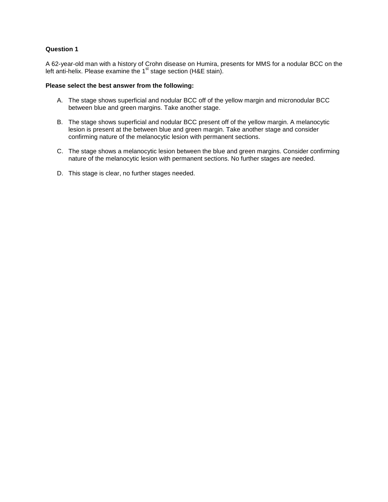A 62-year-old man with a history of Crohn disease on Humira, presents for MMS for a nodular BCC on the left anti-helix. Please examine the 1<sup>st</sup> stage section (H&E stain).

#### **Please select the best answer from the following:**

- A. The stage shows superficial and nodular BCC off of the yellow margin and micronodular BCC between blue and green margins. Take another stage.
- B. The stage shows superficial and nodular BCC present off of the yellow margin. A melanocytic lesion is present at the between blue and green margin. Take another stage and consider confirming nature of the melanocytic lesion with permanent sections.
- C. The stage shows a melanocytic lesion between the blue and green margins. Consider confirming nature of the melanocytic lesion with permanent sections. No further stages are needed.
- D. This stage is clear, no further stages needed.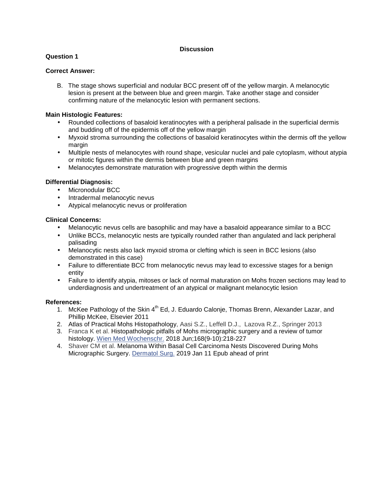## **Question 1**

# **Correct Answer:**

B. The stage shows superficial and nodular BCC present off of the yellow margin. A melanocytic lesion is present at the between blue and green margin. Take another stage and consider confirming nature of the melanocytic lesion with permanent sections.

## **Main Histologic Features:**

- Rounded collections of basaloid keratinocytes with a peripheral palisade in the superficial dermis and budding off of the epidermis off of the yellow margin
- Myxoid stroma surrounding the collections of basaloid keratinocytes within the dermis off the yellow margin
- Multiple nests of melanocytes with round shape, vesicular nuclei and pale cytoplasm, without atypia or mitotic figures within the dermis between blue and green margins
- Melanocytes demonstrate maturation with progressive depth within the dermis

#### **Differential Diagnosis:**

- Micronodular BCC
- Intradermal melanocytic nevus
- Atypical melanocytic nevus or proliferation

## **Clinical Concerns:**

- Melanocytic nevus cells are basophilic and may have a basaloid appearance similar to a BCC
- Unlike BCCs, melanocytic nests are typically rounded rather than angulated and lack peripheral palisading
- Melanocytic nests also lack myxoid stroma or clefting which is seen in BCC lesions (also demonstrated in this case)
- Failure to differentiate BCC from melanocytic nevus may lead to excessive stages for a benign entity
- Failure to identify atypia, mitoses or lack of normal maturation on Mohs frozen sections may lead to underdiagnosis and undertreatment of an atypical or malignant melanocytic lesion

- 1. McKee Pathology of the Skin 4<sup>th</sup> Ed, J. Eduardo Calonje, Thomas Brenn, Alexander Lazar, and Phillip McKee, Elsevier 2011
- 2. Atlas of Practical Mohs Histopathology, Aasi S.Z., Leffell D.J., Lazova R.Z., Springer 2013
- 3. Franca K et al. Histopathologic pitfalls of Mohs micrographic surgery and a review of tumor histology. Wien Med Wochenschr. 2018 Jun;168(9-10):218-227
- 4. Shaver CM et al. Melanoma Within Basal Cell Carcinoma Nests Discovered During Mohs Micrographic Surgery. Dermatol Surg. 2019 Jan 11 Epub ahead of print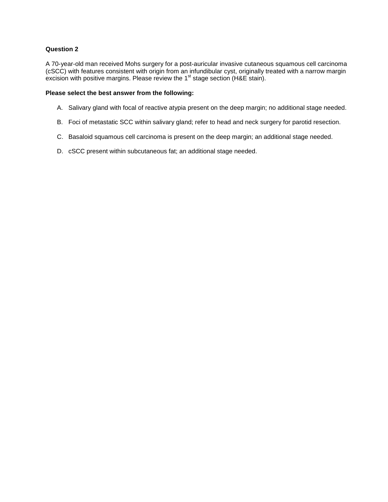A 70-year-old man received Mohs surgery for a post-auricular invasive cutaneous squamous cell carcinoma (cSCC) with features consistent with origin from an infundibular cyst, originally treated with a narrow margin excision with positive margins. Please review the  $1<sup>st</sup>$  stage section (H&E stain).

#### **Please select the best answer from the following:**

- A. Salivary gland with focal of reactive atypia present on the deep margin; no additional stage needed.
- B. Foci of metastatic SCC within salivary gland; refer to head and neck surgery for parotid resection.
- C. Basaloid squamous cell carcinoma is present on the deep margin; an additional stage needed.
- D. cSCC present within subcutaneous fat; an additional stage needed.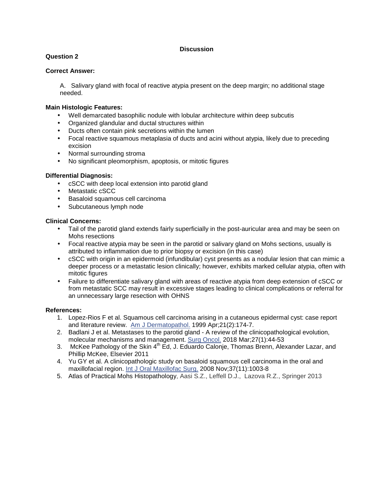# **Question 2**

#### **Correct Answer:**

A. Salivary gland with focal of reactive atypia present on the deep margin; no additional stage needed.

## **Main Histologic Features:**

- Well demarcated basophilic nodule with lobular architecture within deep subcutis
- Organized glandular and ductal structures within
- Ducts often contain pink secretions within the lumen
- Focal reactive squamous metaplasia of ducts and acini without atypia, likely due to preceding excision
- Normal surrounding stroma
- No significant pleomorphism, apoptosis, or mitotic figures

#### **Differential Diagnosis:**

- cSCC with deep local extension into parotid gland
- Metastatic cSCC
- Basaloid squamous cell carcinoma
- Subcutaneous lymph node

#### **Clinical Concerns:**

- Tail of the parotid gland extends fairly superficially in the post-auricular area and may be seen on Mohs resections
- Focal reactive atypia may be seen in the parotid or salivary gland on Mohs sections, usually is attributed to inflammation due to prior biopsy or excision (in this case)
- cSCC with origin in an epidermoid (infundibular) cyst presents as a nodular lesion that can mimic a deeper process or a metastatic lesion clinically; however, exhibits marked cellular atypia, often with mitotic figures
- Failure to differentiate salivary gland with areas of reactive atypia from deep extension of cSCC or from metastatic SCC may result in excessive stages leading to clinical complications or referral for an unnecessary large resection with OHNS

- 1. Lopez-Rios F et al. Squamous cell carcinoma arising in a cutaneous epidermal cyst: case report and literature review. Am J Dermatopathol. 1999 Apr;21(2):174-7.
- 2. Badlani J et al. Metastases to the parotid gland A review of the clinicopathological evolution, molecular mechanisms and management. Surg Oncol. 2018 Mar;27(1):44-53
- 3. McKee Pathology of the Skin 4<sup>th</sup> Ed, J. Eduardo Calonje, Thomas Brenn, Alexander Lazar, and Phillip McKee, Elsevier 2011
- 4. Yu GY et al. A clinicopathologic study on basaloid squamous cell carcinoma in the oral and maxillofacial region. Int J Oral Maxillofac Surg. 2008 Nov;37(11):1003-8
- 5. Atlas of Practical Mohs Histopathology, Aasi S.Z., Leffell D.J., Lazova R.Z., Springer 2013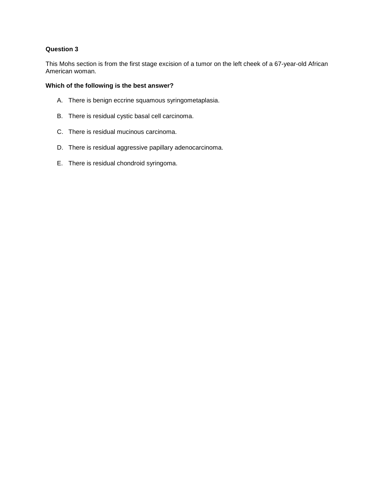This Mohs section is from the first stage excision of a tumor on the left cheek of a 67-year-old African American woman.

- A. There is benign eccrine squamous syringometaplasia.
- B. There is residual cystic basal cell carcinoma.
- C. There is residual mucinous carcinoma.
- D. There is residual aggressive papillary adenocarcinoma.
- E. There is residual chondroid syringoma.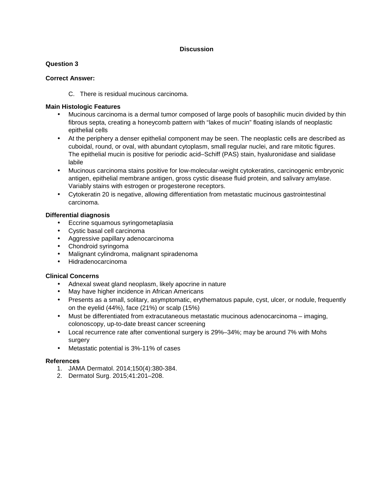## **Question 3**

## **Correct Answer:**

C. There is residual mucinous carcinoma.

# **Main Histologic Features**

- Mucinous carcinoma is a dermal tumor composed of large pools of basophilic mucin divided by thin fibrous septa, creating a honeycomb pattern with "lakes of mucin" floating islands of neoplastic epithelial cells
- At the periphery a denser epithelial component may be seen. The neoplastic cells are described as cuboidal, round, or oval, with abundant cytoplasm, small regular nuclei, and rare mitotic figures. The epithelial mucin is positive for periodic acid–Schiff (PAS) stain, hyaluronidase and sialidase labile
- Mucinous carcinoma stains positive for low-molecular-weight cytokeratins, carcinogenic embryonic antigen, epithelial membrane antigen, gross cystic disease fluid protein, and salivary amylase. Variably stains with estrogen or progesterone receptors.
- Cytokeratin 20 is negative, allowing differentiation from metastatic mucinous gastrointestinal carcinoma.

# **Differential diagnosis**

- Eccrine squamous syringometaplasia
- Cystic basal cell carcinoma
- Aggressive papillary adenocarcinoma
- Chondroid syringoma
- Malignant cylindroma, malignant spiradenoma
- Hidradenocarcinoma

## **Clinical Concerns**

- Adnexal sweat gland neoplasm, likely apocrine in nature
- May have higher incidence in African Americans
- Presents as a small, solitary, asymptomatic, erythematous papule, cyst, ulcer, or nodule, frequently on the eyelid (44%), face (21%) or scalp (15%)
- Must be differentiated from extracutaneous metastatic mucinous adenocarcinoma imaging, colonoscopy, up-to-date breast cancer screening
- Local recurrence rate after conventional surgery is 29%–34%; may be around 7% with Mohs surgery
- Metastatic potential is 3%-11% of cases

- 1. JAMA Dermatol. 2014;150(4):380-384.
- 2. Dermatol Surg. 2015;41:201–208.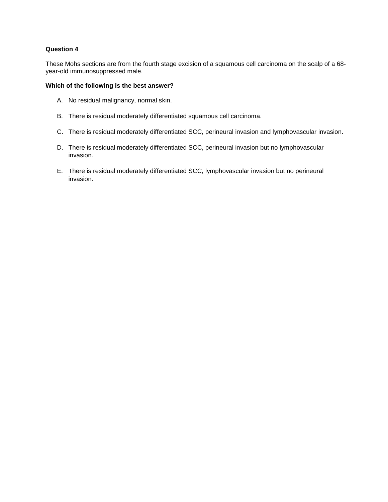These Mohs sections are from the fourth stage excision of a squamous cell carcinoma on the scalp of a 68 year-old immunosuppressed male.

- A. No residual malignancy, normal skin.
- B. There is residual moderately differentiated squamous cell carcinoma.
- C. There is residual moderately differentiated SCC, perineural invasion and lymphovascular invasion.
- D. There is residual moderately differentiated SCC, perineural invasion but no lymphovascular invasion.
- E. There is residual moderately differentiated SCC, lymphovascular invasion but no perineural invasion.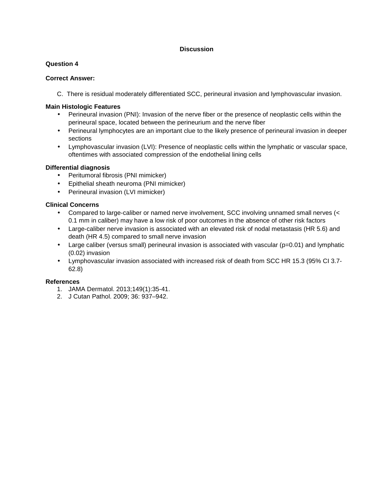## **Question 4**

#### **Correct Answer:**

C. There is residual moderately differentiated SCC, perineural invasion and lymphovascular invasion.

## **Main Histologic Features**

- Perineural invasion (PNI): Invasion of the nerve fiber or the presence of neoplastic cells within the perineural space, located between the perineurium and the nerve fiber
- Perineural lymphocytes are an important clue to the likely presence of perineural invasion in deeper sections
- Lymphovascular invasion (LVI): Presence of neoplastic cells within the lymphatic or vascular space, oftentimes with associated compression of the endothelial lining cells

#### **Differential diagnosis**

- Peritumoral fibrosis (PNI mimicker)
- Epithelial sheath neuroma (PNI mimicker)
- Perineural invasion (LVI mimicker)

## **Clinical Concerns**

- Compared to large-caliber or named nerve involvement, SCC involving unnamed small nerves (< 0.1 mm in caliber) may have a low risk of poor outcomes in the absence of other risk factors
- Large-caliber nerve invasion is associated with an elevated risk of nodal metastasis (HR 5.6) and death (HR 4.5) compared to small nerve invasion
- Large caliber (versus small) perineural invasion is associated with vascular ( $p=0.01$ ) and lymphatic (0.02) invasion
- Lymphovascular invasion associated with increased risk of death from SCC HR 15.3 (95% CI 3.7- 62.8)

- 1. JAMA Dermatol. 2013;149(1):35-41.
- 2. J Cutan Pathol. 2009; 36: 937–942.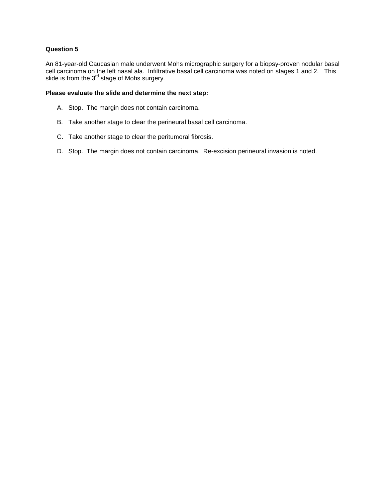An 81-year-old Caucasian male underwent Mohs micrographic surgery for a biopsy-proven nodular basal cell carcinoma on the left nasal ala. Infiltrative basal cell carcinoma was noted on stages 1 and 2. This slide is from the  $3<sup>rd</sup>$  stage of Mohs surgery.

# **Please evaluate the slide and determine the next step:**

- A. Stop. The margin does not contain carcinoma.
- B. Take another stage to clear the perineural basal cell carcinoma.
- C. Take another stage to clear the peritumoral fibrosis.
- D. Stop. The margin does not contain carcinoma. Re-excision perineural invasion is noted.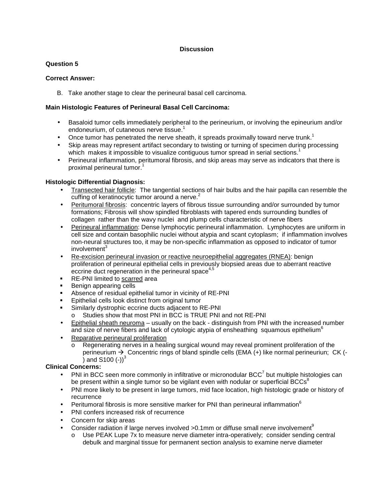# **Question 5**

## **Correct Answer:**

B. Take another stage to clear the perineural basal cell carcinoma.

# **Main Histologic Features of Perineural Basal Cell Carcinoma:**

- Basaloid tumor cells immediately peripheral to the perineurium, or involving the epineurium and/or endoneurium, of cutaneous nerve tissue.<sup>1</sup>
- Once tumor has penetrated the nerve sheath, it spreads proximally toward nerve trunk.<sup>1</sup>
- Skip areas may represent artifact secondary to twisting or turning of specimen during processing which makes it impossible to visualize contiguous tumor spread in serial sections.<sup>1</sup>
- Perineural inflammation, peritumoral fibrosis, and skip areas may serve as indicators that there is proximal perineural tumor.<sup>1</sup>

# **Histologic Differential Diagnosis:**

- Transected hair follicle: The tangential sections of hair bulbs and the hair papilla can resemble the cuffing of keratinocytic tumor around a nerve.<sup>2</sup>
- Peritumoral fibrosis: concentric layers of fibrous tissue surrounding and/or surrounded by tumor formations; Fibrosis will show spindled fibroblasts with tapered ends surrounding bundles of collagen rather than the wavy nuclei and plump cells characteristic of nerve fibers
- Perineural inflammation: Dense lymphocytic perineural inflammation. Lymphocytes are uniform in cell size and contain basophilic nuclei without atypia and scant cytoplasm; if inflammation involves non-neural structures too, it may be non-specific inflammation as opposed to indicator of tumor involvement<sup>3</sup>
- Re-excision perineural invasion or reactive neuroepithelial aggregates (RNEA): benign proliferation of perineural epithelial cells in previously biopsied areas due to aberrant reactive eccrine duct regeneration in the perineural space $4.5$
- RE-PNI limited to scarred area
- Benign appearing cells
- Absence of residual epithelial tumor in vicinity of RE-PNI
- Epithelial cells look distinct from original tumor
- Similarly dystrophic eccrine ducts adjacent to RE-PNI
	- o Studies show that most PNI in BCC is TRUE PNI and not RE-PNI
- Epithelial sheath neuroma usually on the back distinguish from PNI with the increased number and size of nerve fibers and lack of cytologic atypia of ensheathing squamous epithelium<sup>6</sup>
- Reparative perineural proliferation
	- o Regenerating nerves in a healing surgical wound may reveal prominent proliferation of the perineurium  $\rightarrow$  Concentric rings of bland spindle cells (EMA (+) like normal perineuriun; CK (-) and S100  $(-1)^3$

## **Clinical Concerns:**

- PNI in BCC seen more commonly in infiltrative or micronodular BCC<sup>7</sup> but multiple histologies can be present within a single tumor so be vigilant even with nodular or superficial BCCs<sup>8</sup>
- PNI more likely to be present in large tumors, mid face location, high histologic grade or history of recurrence
- Peritumoral fibrosis is more sensitive marker for PNI than perineural inflammation $^6$
- PNI confers increased risk of recurrence
- Concern for skip areas
- Consider radiation if large nerves involved  $>0.1$ mm or diffuse small nerve involvement<sup>9</sup>
	- o Use PEAK Lupe 7x to measure nerve diameter intra-operatively; consider sending central debulk and marginal tissue for permanent section analysis to examine nerve diameter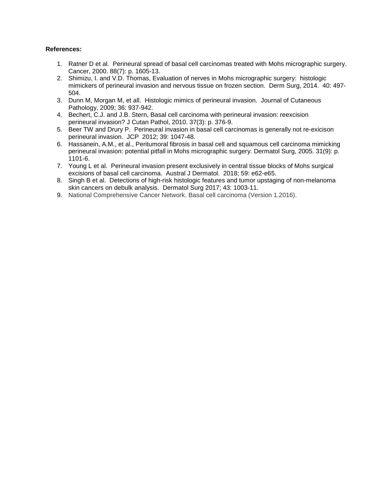- 1. Ratner D et al. Perineural spread of basal cell carcinomas treated with Mohs micrographic surgery. Cancer, 2000. 88(7): p. 1605-13.
- 2. Shimizu, I. and V.D. Thomas, Evaluation of nerves in Mohs micrographic surgery: histologic mimickers of perineural invasion and nervous tissue on frozen section. Derm Surg, 2014. 40: 497- 504.
- 3. Dunn M, Morgan M, et all. Histologic mimics of perineural invasion. Journal of Cutaneous Pathology, 2009; 36: 937-942.
- 4. Bechert, C.J. and J.B. Stern, Basal cell carcinoma with perineural invasion: reexcision perineural invasion? J Cutan Pathol, 2010. 37(3): p. 376-9.
- 5. Beer TW and Drury P. Perineural invasion in basal cell carcinomas is generally not re-exicison perineural invasion. JCP 2012; 39: 1047-48.
- 6. Hassanein, A.M., et al., Peritumoral fibrosis in basal cell and squamous cell carcinoma mimicking perineural invasion: potential pitfall in Mohs micrographic surgery. Dermatol Surg, 2005. 31(9): p. 1101-6.
- 7. Young L et al. Perineural invasion present exclusively in central tissue blocks of Mohs surgical excisions of basal cell carcinoma. Austral J Dermatol. 2018; 59: e62-e65.
- 8. Singh B et al. Detections of high-risk histologic features and tumor upstaging of non-melanoma skin cancers on debulk analysis. Dermatol Surg 2017; 43: 1003-11.
- 9. National Comprehensive Cancer Network. Basal cell carcinoma (Version 1.2016).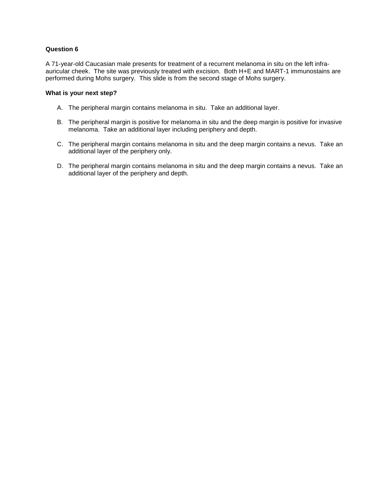A 71-year-old Caucasian male presents for treatment of a recurrent melanoma in situ on the left infraauricular cheek. The site was previously treated with excision. Both H+E and MART-1 immunostains are performed during Mohs surgery. This slide is from the second stage of Mohs surgery.

#### **What is your next step?**

- A. The peripheral margin contains melanoma in situ. Take an additional layer.
- B. The peripheral margin is positive for melanoma in situ and the deep margin is positive for invasive melanoma. Take an additional layer including periphery and depth.
- C. The peripheral margin contains melanoma in situ and the deep margin contains a nevus. Take an additional layer of the periphery only.
- D. The peripheral margin contains melanoma in situ and the deep margin contains a nevus. Take an additional layer of the periphery and depth.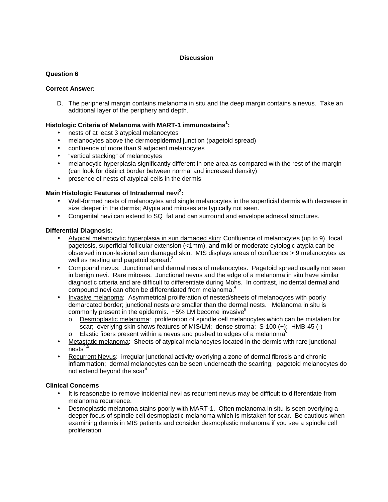## **Question 6**

#### **Correct Answer:**

D. The peripheral margin contains melanoma in situ and the deep margin contains a nevus. Take an additional layer of the periphery and depth.

## **Histologic Criteria of Melanoma with MART-1 immunostains<sup>1</sup> :**

- nests of at least 3 atypical melanocytes
- melanocytes above the dermoepidermal junction (pagetoid spread)
- confluence of more than 9 adjacent melanocytes
- "vertical stacking" of melanocytes
- melanocytic hyperplasia significantly different in one area as compared with the rest of the margin (can look for distinct border between normal and increased density)
- presence of nests of atypical cells in the dermis

## **Main Histologic Features of Intradermal nevi<sup>2</sup> :**

- Well-formed nests of melanocytes and single melanocytes in the superficial dermis with decrease in size deeper in the dermis; Atypia and mitoses are typically not seen.
- Congenital nevi can extend to SQ fat and can surround and envelope adnexal structures.

#### **Differential Diagnosis:**

- Atypical melanocytic hyperplasia in sun damaged skin: Confluence of melanocytes (up to 9), focal pagetosis, superficial follicular extension (<1mm), and mild or moderate cytologic atypia can be observed in non-lesional sun damaged skin. MIS displays areas of confluence > 9 melanocytes as well as nesting and pagetoid spread.<sup>3</sup>
- Compound nevus: Junctional and dermal nests of melanocytes. Pagetoid spread usually not seen in benign nevi. Rare mitoses. Junctional nevus and the edge of a melanoma in situ have similar diagnostic criteria and are difficult to differentiate during Mohs. In contrast, incidental dermal and compound nevi can often be differentiated from melanoma.<sup>4</sup>
- Invasive melanoma: Asymmetrical proliferation of nested/sheets of melanocytes with poorly demarcated border; junctional nests are smaller than the dermal nests. Melanoma in situ is commonly present in the epidermis.  $~5\%$  LM become invasive<sup>5</sup>
	- o Desmoplastic melanoma: proliferation of spindle cell melanocytes which can be mistaken for scar; overlying skin shows features of MIS/LM; dense stroma; S-100 (+); HMB-45 (-)
	- Elastic fibers present within a nevus and pushed to edges of a melanoma<sup>1</sup>
- Metastatic melanoma: Sheets of atypical melanocytes located in the dermis with rare junctional  $nests<sup>4,5</sup>$
- Recurrent Nevus: irregular junctional activity overlying a zone of dermal fibrosis and chronic inflammation; dermal melanocytes can be seen underneath the scarring; pagetoid melanocytes do not extend beyond the scar<sup>4</sup>

#### **Clinical Concerns**

- It is reasonabe to remove incidental nevi as recurrent nevus may be difficult to differentiate from melanoma recurrence.
- Desmoplastic melanoma stains poorly with MART-1. Often melanoma in situ is seen overlying a deeper focus of spindle cell desmoplastic melanoma which is mistaken for scar. Be cautious when examining dermis in MIS patients and consider desmoplastic melanoma if you see a spindle cell proliferation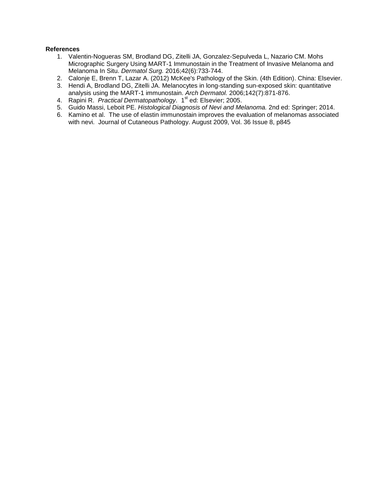- 1. Valentin-Nogueras SM, Brodland DG, Zitelli JA, Gonzalez-Sepulveda L, Nazario CM. Mohs Micrographic Surgery Using MART-1 Immunostain in the Treatment of Invasive Melanoma and Melanoma In Situ. Dermatol Surg. 2016;42(6):733-744.
- 2. Calonje E, Brenn T, Lazar A. (2012) McKee's Pathology of the Skin. (4th Edition). China: Elsevier.
- 3. Hendi A, Brodland DG, Zitelli JA. Melanocytes in long-standing sun-exposed skin: quantitative analysis using the MART-1 immunostain. Arch Dermatol. 2006;142(7):871-876.
- 4. Rapini R. Practical Dermatopathology. 1<sup>st</sup> ed: Elsevier; 2005.
- 5. Guido Massi, Leboit PE. Histological Diagnosis of Nevi and Melanoma. 2nd ed: Springer; 2014.
- 6. Kamino et al. The use of elastin immunostain improves the evaluation of melanomas associated with nevi. Journal of Cutaneous Pathology. August 2009, Vol. 36 Issue 8, p845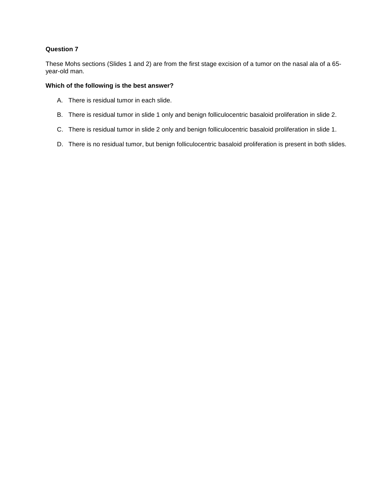These Mohs sections (Slides 1 and 2) are from the first stage excision of a tumor on the nasal ala of a 65 year-old man.

- A. There is residual tumor in each slide.
- B. There is residual tumor in slide 1 only and benign folliculocentric basaloid proliferation in slide 2.
- C. There is residual tumor in slide 2 only and benign folliculocentric basaloid proliferation in slide 1.
- D. There is no residual tumor, but benign folliculocentric basaloid proliferation is present in both slides.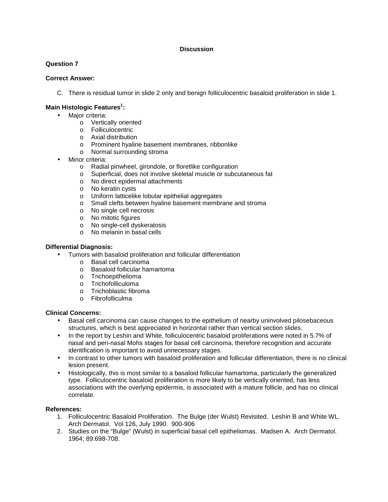# **Question 7**

## **Correct Answer:**

C. There is residual tumor in slide 2 only and benign folliculocentric basaloid proliferation in slide 1.

# **Main Histologic Features<sup>1</sup> :**

- Major criteria:
	- o Vertically oriented
	- o Folliculocentric
	- o Axial distribution
	- o Prominent hyaline basement membranes, ribbonlike
	- o Normal surrounding stroma
- Minor criteria:
	- o Radial pinwheel, girondole, or floretlike configuration
	- o Superficial, does not involve skeletal muscle or subcutaneous fat
	- o No direct epidermal attachments
	- o No keratin cysts
	-
	- o Uniform latticelike lobular epithelial aggregates<br>
	o Small clefts between hyaline basement membra Small clefts between hyaline basement membrane and stroma
	- o No single cell necrosis
	- o No mitotic figures
	- o No single-cell dyskeratosis
	- o No melanin in basal cells

#### **Differential Diagnosis:**

- Tumors with basaloid proliferation and follicular differentiation
	- o Basal cell carcinoma
	- o Basaloid follicular hamartoma
	- o Trichoepithelioma
	- o Trichofolliculoma
	- o Trichoblastic fibroma
	- o Fibrofolliculma

#### **Clinical Concerns:**

- Basal cell carcinoma can cause changes to the epithelium of nearby uninvolved pilosebaceous structures, which is best appreciated in horizontal rather than vertical section slides.
- In the report by Leshin and White, folliculocentric basaloid proliferations were noted in 5.7% of nasal and peri-nasal Mohs stages for basal cell carcinoma, therefore recognition and accurate identification is important to avoid unnecessary stages.
- In contrast to other tumors with basaloid proliferation and follicular differentiation, there is no clinical lesion present.
- Histologically, this is most similar to a basaloid follicular hamartoma, particularly the generalized type. Folliculocentric basaloid proliferation is more likely to be vertically oriented, has less associations with the overlying epidermis, is associated with a mature follicle, and has no clinical correlate.

- 1. Folliculocentric Basaloid Proliferation. The Bulge (der Wulst) Revisited. Leshin B and White WL. Arch Dermatol. Vol 126, July 1990. 900-906
- 2. Studies on the "Bulge" (Wulst) in superficial basal cell epitheliomas. Madsen A. Arch Dermatol. 1964; 89:698-708.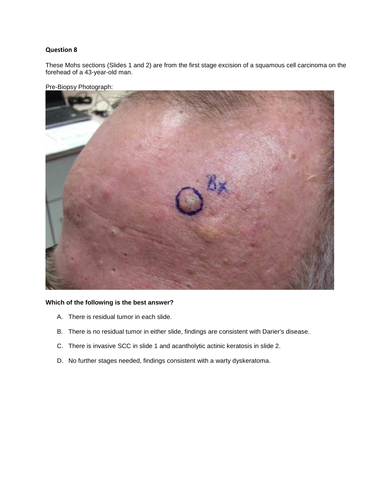These Mohs sections (Slides 1 and 2) are from the first stage excision of a squamous cell carcinoma on the forehead of a 43-year-old man.



Pre-Biopsy Photograph:

- A. There is residual tumor in each slide.
- B. There is no residual tumor in either slide, findings are consistent with Darier's disease.
- C. There is invasive SCC in slide 1 and acantholytic actinic keratosis in slide 2.
- D. No further stages needed, findings consistent with a warty dyskeratoma.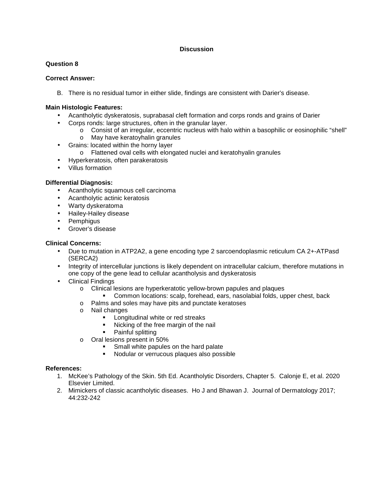## **Question 8**

#### **Correct Answer:**

B. There is no residual tumor in either slide, findings are consistent with Darier's disease.

#### **Main Histologic Features:**

- Acantholytic dyskeratosis, suprabasal cleft formation and corps ronds and grains of Darier
- Corps ronds: large structures, often in the granular layer.
	- o Consist of an irregular, eccentric nucleus with halo within a basophilic or eosinophilic "shell" o May have keratoyhalin granules
- Grains: located within the horny layer
	- o Flattened oval cells with elongated nuclei and keratohyalin granules
- Hyperkeratosis, often parakeratosis
- Villus formation

## **Differential Diagnosis:**

- Acantholytic squamous cell carcinoma
- Acantholytic actinic keratosis
- Warty dyskeratoma
- Hailey-Hailey disease
- Pemphigus
- Grover's disease

## **Clinical Concerns:**

- Due to mutation in ATP2A2, a gene encoding type 2 sarcoendoplasmic reticulum CA 2+-ATPasd (SERCA2)
- Integrity of intercellular junctions is likely dependent on intracellular calcium, therefore mutations in one copy of the gene lead to cellular acantholysis and dyskeratosis
- Clinical Findings
	- o Clinical lesions are hyperkeratotic yellow-brown papules and plaques
		- Common locations: scalp, forehead, ears, nasolabial folds, upper chest, back
	- o Palms and soles may have pits and punctate keratoses
	- o Nail changes
		- **Longitudinal white or red streaks**
		- Nicking of the free margin of the nail
		- Painful splitting
	- o Oral lesions present in 50%
		- **Small white papules on the hard palate**
		- Nodular or verrucous plaques also possible

- 1. McKee's Pathology of the Skin. 5th Ed. Acantholytic Disorders, Chapter 5. Calonje E, et al. 2020 Elsevier Limited.
- 2. Mimickers of classic acantholytic diseases. Ho J and Bhawan J. Journal of Dermatology 2017; 44:232-242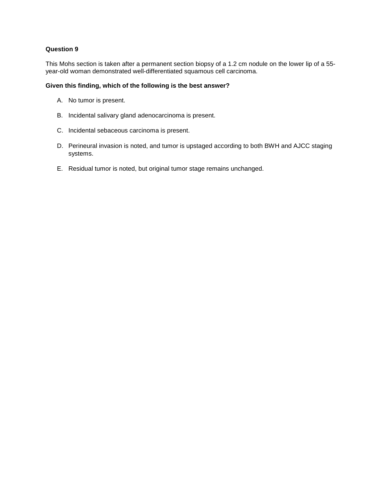This Mohs section is taken after a permanent section biopsy of a 1.2 cm nodule on the lower lip of a 55 year-old woman demonstrated well-differentiated squamous cell carcinoma.

#### **Given this finding, which of the following is the best answer?**

- A. No tumor is present.
- B. Incidental salivary gland adenocarcinoma is present.
- C. Incidental sebaceous carcinoma is present.
- D. Perineural invasion is noted, and tumor is upstaged according to both BWH and AJCC staging systems.
- E. Residual tumor is noted, but original tumor stage remains unchanged.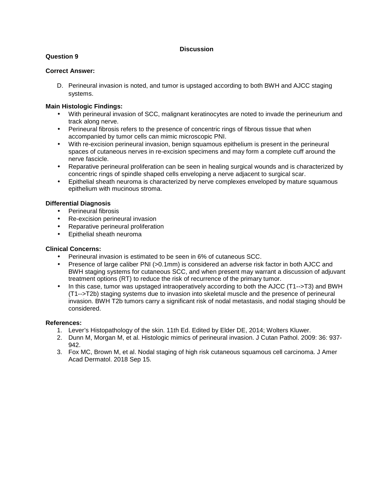# **Question 9**

# **Correct Answer:**

D. Perineural invasion is noted, and tumor is upstaged according to both BWH and AJCC staging systems.

## **Main Histologic Findings:**

- With perineural invasion of SCC, malignant keratinocytes are noted to invade the perineurium and track along nerve.
- Perineural fibrosis refers to the presence of concentric rings of fibrous tissue that when accompanied by tumor cells can mimic microscopic PNI.
- With re-excision perineural invasion, benign squamous epithelium is present in the perineural spaces of cutaneous nerves in re-excision specimens and may form a complete cuff around the nerve fascicle.
- Reparative perineural proliferation can be seen in healing surgical wounds and is characterized by concentric rings of spindle shaped cells enveloping a nerve adjacent to surgical scar.
- Epithelial sheath neuroma is characterized by nerve complexes enveloped by mature squamous epithelium with mucinous stroma.

#### **Differential Diagnosis**

- Perineural fibrosis
- Re-excision perineural invasion
- Reparative perineural proliferation
- Epithelial sheath neuroma

#### **Clinical Concerns:**

- Perineural invasion is estimated to be seen in 6% of cutaneous SCC.
- Presence of large caliber PNI (>0.1mm) is considered an adverse risk factor in both AJCC and BWH staging systems for cutaneous SCC, and when present may warrant a discussion of adjuvant treatment options (RT) to reduce the risk of recurrence of the primary tumor.
- In this case, tumor was upstaged intraoperatively according to both the AJCC (T1-->T3) and BWH (T1-->T2b) staging systems due to invasion into skeletal muscle and the presence of perineural invasion. BWH T2b tumors carry a significant risk of nodal metastasis, and nodal staging should be considered.

- 1. Lever's Histopathology of the skin. 11th Ed. Edited by Elder DE, 2014; Wolters Kluwer.
- 2. Dunn M, Morgan M, et al. Histologic mimics of perineural invasion. J Cutan Pathol. 2009: 36: 937- 942.
- 3. Fox MC, Brown M, et al. Nodal staging of high risk cutaneous squamous cell carcinoma. J Amer Acad Dermatol. 2018 Sep 15.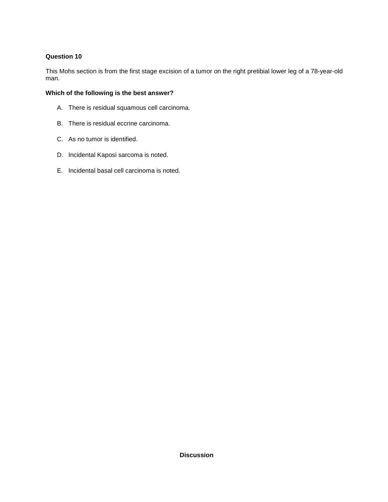This Mohs section is from the first stage excision of a tumor on the right pretibial lower leg of a 78-year-old man.

- A. There is residual squamous cell carcinoma.
- B. There is residual eccrine carcinoma.
- C. As no tumor is identified.
- D. Incidental Kaposi sarcoma is noted.
- E. Incidental basal cell carcinoma is noted.